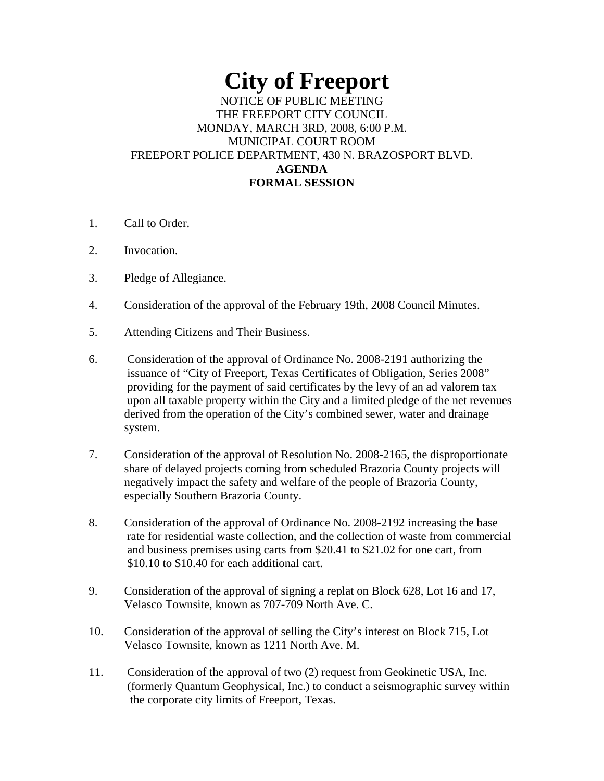## **City of Freeport**  NOTICE OF PUBLIC MEETING THE FREEPORT CITY COUNCIL MONDAY, MARCH 3RD, 2008, 6:00 P.M. MUNICIPAL COURT ROOM FREEPORT POLICE DEPARTMENT, 430 N. BRAZOSPORT BLVD. **AGENDA FORMAL SESSION**

- 1. Call to Order.
- 2. Invocation.
- 3. Pledge of Allegiance.
- 4. Consideration of the approval of the February 19th, 2008 Council Minutes.
- 5. Attending Citizens and Their Business.
- 6. Consideration of the approval of Ordinance No. 2008-2191 authorizing the issuance of "City of Freeport, Texas Certificates of Obligation, Series 2008" providing for the payment of said certificates by the levy of an ad valorem tax upon all taxable property within the City and a limited pledge of the net revenues derived from the operation of the City's combined sewer, water and drainage system.
- 7. Consideration of the approval of Resolution No. 2008-2165, the disproportionate share of delayed projects coming from scheduled Brazoria County projects will negatively impact the safety and welfare of the people of Brazoria County, especially Southern Brazoria County.
- 8. Consideration of the approval of Ordinance No. 2008-2192 increasing the base rate for residential waste collection, and the collection of waste from commercial and business premises using carts from \$20.41 to \$21.02 for one cart, from \$10.10 to \$10.40 for each additional cart.
- 9. Consideration of the approval of signing a replat on Block 628, Lot 16 and 17, Velasco Townsite, known as 707-709 North Ave. C.
- 10. Consideration of the approval of selling the City's interest on Block 715, Lot Velasco Townsite, known as 1211 North Ave. M.
- 11. Consideration of the approval of two (2) request from Geokinetic USA, Inc. (formerly Quantum Geophysical, Inc.) to conduct a seismographic survey within the corporate city limits of Freeport, Texas.